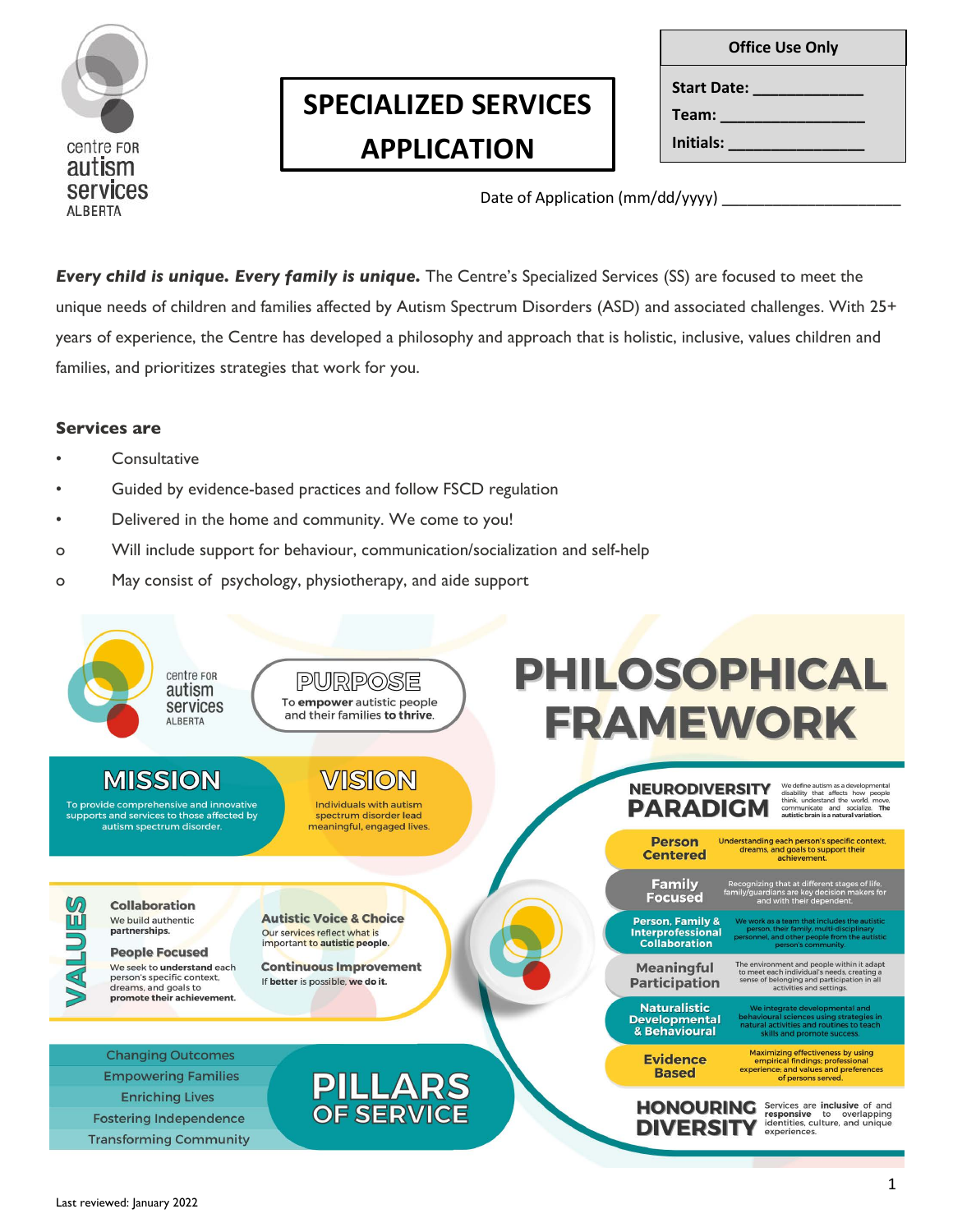

## **SPECIALIZED SERVICES APPLICATION**

| <b>Office Use Only</b> |  |  |  |  |  |  |
|------------------------|--|--|--|--|--|--|
|                        |  |  |  |  |  |  |
| Team: Team             |  |  |  |  |  |  |
| Initials: ____         |  |  |  |  |  |  |
|                        |  |  |  |  |  |  |

Date of Application (mm/dd/yyyy)

*Every child is unique. Every family is unique.* The Centre's Specialized Services (SS) are focused to meet the unique needs of children and families affected by Autism Spectrum Disorders (ASD) and associated challenges. With 25+ years of experience, the Centre has developed a philosophy and approach that is holistic, inclusive, values children and families, and prioritizes strategies that work for you.

## **Services are**

- **Consultative**
- Guided by evidence-based practices and follow FSCD regulation
- Delivered in the home and community. We come to you!
- o Will include support for behaviour, communication/socialization and self-help
- o May consist of psychology, physiotherapy, and aide support

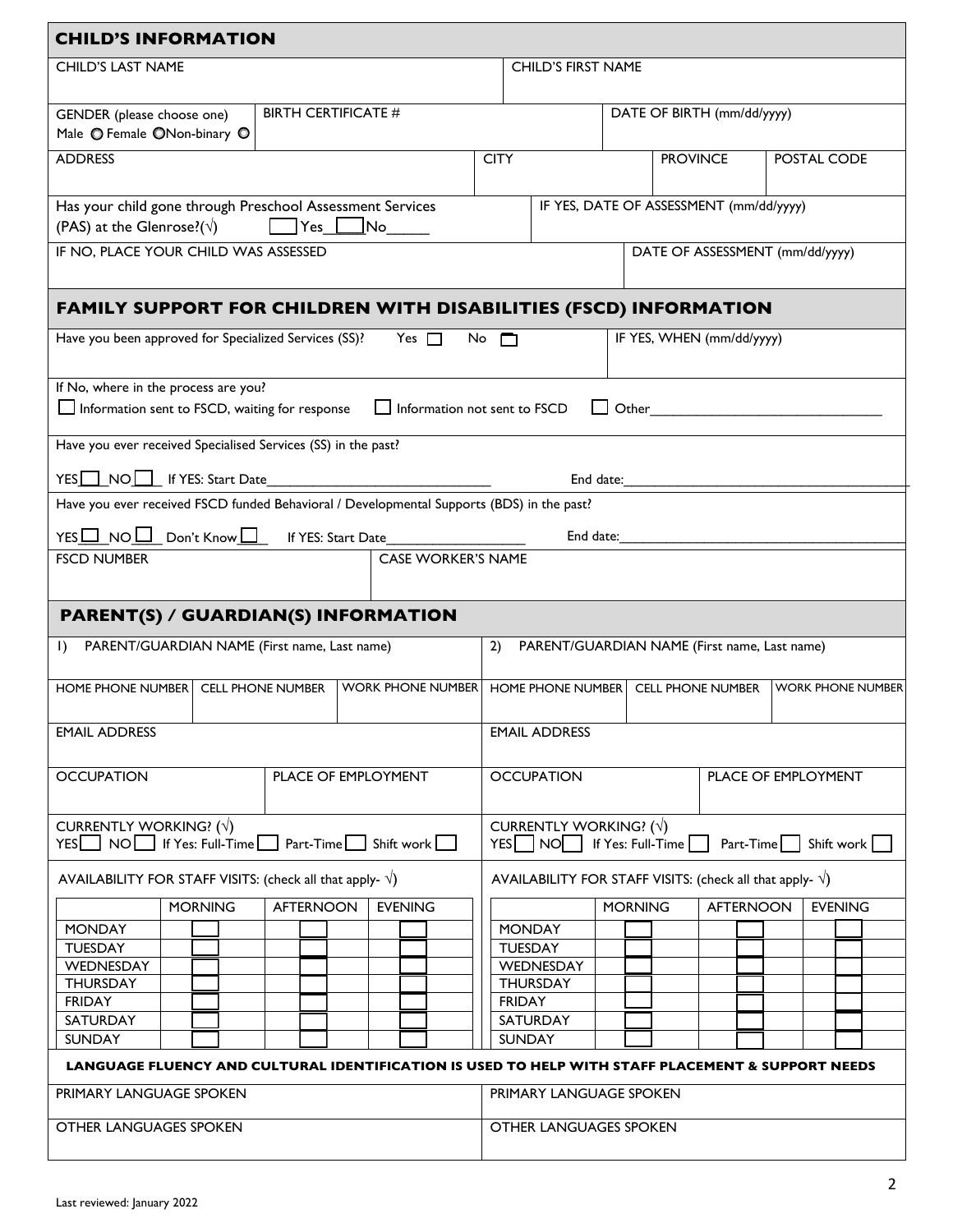| <b>CHILD'S INFORMATION</b>                                                                                                                                                                                                                                         |                              |                                |                |                                                                                                                                                                                                                               |  |                                 |  |  |  |
|--------------------------------------------------------------------------------------------------------------------------------------------------------------------------------------------------------------------------------------------------------------------|------------------------------|--------------------------------|----------------|-------------------------------------------------------------------------------------------------------------------------------------------------------------------------------------------------------------------------------|--|---------------------------------|--|--|--|
| <b>CHILD'S LAST NAME</b>                                                                                                                                                                                                                                           |                              | <b>CHILD'S FIRST NAME</b>      |                |                                                                                                                                                                                                                               |  |                                 |  |  |  |
|                                                                                                                                                                                                                                                                    |                              |                                |                |                                                                                                                                                                                                                               |  |                                 |  |  |  |
| <b>BIRTH CERTIFICATE #</b><br>GENDER (please choose one)<br>Male O Female ONon-binary O                                                                                                                                                                            |                              | DATE OF BIRTH (mm/dd/yyyy)     |                |                                                                                                                                                                                                                               |  |                                 |  |  |  |
| <b>ADDRESS</b>                                                                                                                                                                                                                                                     |                              | <b>CITY</b>                    |                | <b>PROVINCE</b>                                                                                                                                                                                                               |  | POSTAL CODE                     |  |  |  |
| Has your child gone through Preschool Assessment Services                                                                                                                                                                                                          |                              |                                |                | IF YES, DATE OF ASSESSMENT (mm/dd/yyyy)                                                                                                                                                                                       |  |                                 |  |  |  |
| (PAS) at the Glenrose?( $\sqrt{ }$ )<br> Yes                                                                                                                                                                                                                       | lNo                          |                                |                |                                                                                                                                                                                                                               |  |                                 |  |  |  |
| IF NO, PLACE YOUR CHILD WAS ASSESSED                                                                                                                                                                                                                               |                              |                                |                |                                                                                                                                                                                                                               |  | DATE OF ASSESSMENT (mm/dd/yyyy) |  |  |  |
| <b>FAMILY SUPPORT FOR CHILDREN WITH DISABILITIES (FSCD) INFORMATION</b>                                                                                                                                                                                            |                              |                                |                |                                                                                                                                                                                                                               |  |                                 |  |  |  |
| Have you been approved for Specialized Services (SS)?                                                                                                                                                                                                              | Yes $\Box$<br>No.            | ⊓                              |                | IF YES, WHEN (mm/dd/yyyy)                                                                                                                                                                                                     |  |                                 |  |  |  |
|                                                                                                                                                                                                                                                                    |                              |                                |                |                                                                                                                                                                                                                               |  |                                 |  |  |  |
| If No, where in the process are you?                                                                                                                                                                                                                               |                              |                                |                |                                                                                                                                                                                                                               |  |                                 |  |  |  |
| Information sent to FSCD, waiting for response                                                                                                                                                                                                                     | Information not sent to FSCD |                                |                | Other and the contract of the contract of the contract of the contract of the contract of the contract of the contract of the contract of the contract of the contract of the contract of the contract of the contract of the |  |                                 |  |  |  |
| Have you ever received Specialised Services (SS) in the past?                                                                                                                                                                                                      |                              |                                |                |                                                                                                                                                                                                                               |  |                                 |  |  |  |
| YES NO   If YES: Start Date                                                                                                                                                                                                                                        |                              |                                |                |                                                                                                                                                                                                                               |  |                                 |  |  |  |
| Have you ever received FSCD funded Behavioral / Developmental Supports (BDS) in the past?                                                                                                                                                                          |                              |                                |                |                                                                                                                                                                                                                               |  |                                 |  |  |  |
| Don't Know $\Box$<br>YES $\square$ NO $\square$<br>If YES: Start Date                                                                                                                                                                                              |                              |                                |                |                                                                                                                                                                                                                               |  |                                 |  |  |  |
| <b>FSCD NUMBER</b>                                                                                                                                                                                                                                                 | <b>CASE WORKER'S NAME</b>    |                                |                |                                                                                                                                                                                                                               |  |                                 |  |  |  |
|                                                                                                                                                                                                                                                                    |                              |                                |                |                                                                                                                                                                                                                               |  |                                 |  |  |  |
| <b>PARENT(S) / GUARDIAN(S) INFORMATION</b>                                                                                                                                                                                                                         |                              |                                |                |                                                                                                                                                                                                                               |  |                                 |  |  |  |
| PARENT/GUARDIAN NAME (First name, Last name)<br>$\Box$                                                                                                                                                                                                             |                              | 2)                             |                | PARENT/GUARDIAN NAME (First name, Last name)                                                                                                                                                                                  |  |                                 |  |  |  |
| HOME PHONE NUMBER   CELL PHONE NUMBER                                                                                                                                                                                                                              | <b>WORK PHONE NUMBER</b>     | <b>HOME PHONE NUMBER</b>       |                | <b>CELL PHONE NUMBER</b>                                                                                                                                                                                                      |  | <b>WORK PHONE NUMBER</b>        |  |  |  |
|                                                                                                                                                                                                                                                                    |                              |                                |                |                                                                                                                                                                                                                               |  |                                 |  |  |  |
| <b>EMAIL ADDRESS</b><br><b>EMAIL ADDRESS</b>                                                                                                                                                                                                                       |                              |                                |                |                                                                                                                                                                                                                               |  |                                 |  |  |  |
| <b>OCCUPATION</b><br>PLACE OF EMPLOYMENT<br><b>OCCUPATION</b><br>PLACE OF EMPLOYMENT                                                                                                                                                                               |                              |                                |                |                                                                                                                                                                                                                               |  |                                 |  |  |  |
|                                                                                                                                                                                                                                                                    |                              |                                |                |                                                                                                                                                                                                                               |  |                                 |  |  |  |
| <b>CURRENTLY WORKING?</b> $(\sqrt{)}$                                                                                                                                                                                                                              |                              | CURRENTLY WORKING? $(\sqrt{})$ |                |                                                                                                                                                                                                                               |  |                                 |  |  |  |
| $\mathsf{YES} \qquad \mathsf{NO} \qquad \mathsf{If} \ \mathsf{Yes} \colon \mathsf{Full}\text{-}\mathsf{Time} \qquad \mathsf{Part}\text{-}\mathsf{Time} \qquad \mathsf{Shift} \ \mathsf{work} \qquad \qquad$<br>YES NO If Yes: Full-Time<br>Part-Time<br>Shift work |                              |                                |                |                                                                                                                                                                                                                               |  |                                 |  |  |  |
| AVAILABILITY FOR STAFF VISITS: (check all that apply- $\sqrt{}$ )<br>AVAILABILITY FOR STAFF VISITS: (check all that apply- $\sqrt{ }$ )                                                                                                                            |                              |                                |                |                                                                                                                                                                                                                               |  |                                 |  |  |  |
| <b>MORNING</b><br><b>AFTERNOON</b>                                                                                                                                                                                                                                 | <b>EVENING</b>               |                                | <b>MORNING</b> | <b>AFTERNOON</b>                                                                                                                                                                                                              |  | <b>EVENING</b>                  |  |  |  |
| <b>MONDAY</b>                                                                                                                                                                                                                                                      |                              | <b>MONDAY</b>                  |                |                                                                                                                                                                                                                               |  |                                 |  |  |  |
| <b>TUESDAY</b>                                                                                                                                                                                                                                                     |                              | <b>TUESDAY</b>                 |                |                                                                                                                                                                                                                               |  |                                 |  |  |  |
| WEDNESDAY<br><b>THURSDAY</b>                                                                                                                                                                                                                                       |                              | WEDNESDAY<br><b>THURSDAY</b>   |                |                                                                                                                                                                                                                               |  |                                 |  |  |  |
| <b>FRIDAY</b>                                                                                                                                                                                                                                                      |                              | <b>FRIDAY</b>                  |                |                                                                                                                                                                                                                               |  |                                 |  |  |  |
| SATURDAY                                                                                                                                                                                                                                                           |                              | SATURDAY                       |                |                                                                                                                                                                                                                               |  |                                 |  |  |  |
| SUNDAY                                                                                                                                                                                                                                                             |                              | SUNDAY                         |                |                                                                                                                                                                                                                               |  |                                 |  |  |  |
| LANGUAGE FLUENCY AND CULTURAL IDENTIFICATION IS USED TO HELP WITH STAFF PLACEMENT & SUPPORT NEEDS                                                                                                                                                                  |                              |                                |                |                                                                                                                                                                                                                               |  |                                 |  |  |  |
| PRIMARY LANGUAGE SPOKEN                                                                                                                                                                                                                                            |                              | PRIMARY LANGUAGE SPOKEN        |                |                                                                                                                                                                                                                               |  |                                 |  |  |  |
| OTHER LANGUAGES SPOKEN                                                                                                                                                                                                                                             |                              | OTHER LANGUAGES SPOKEN         |                |                                                                                                                                                                                                                               |  |                                 |  |  |  |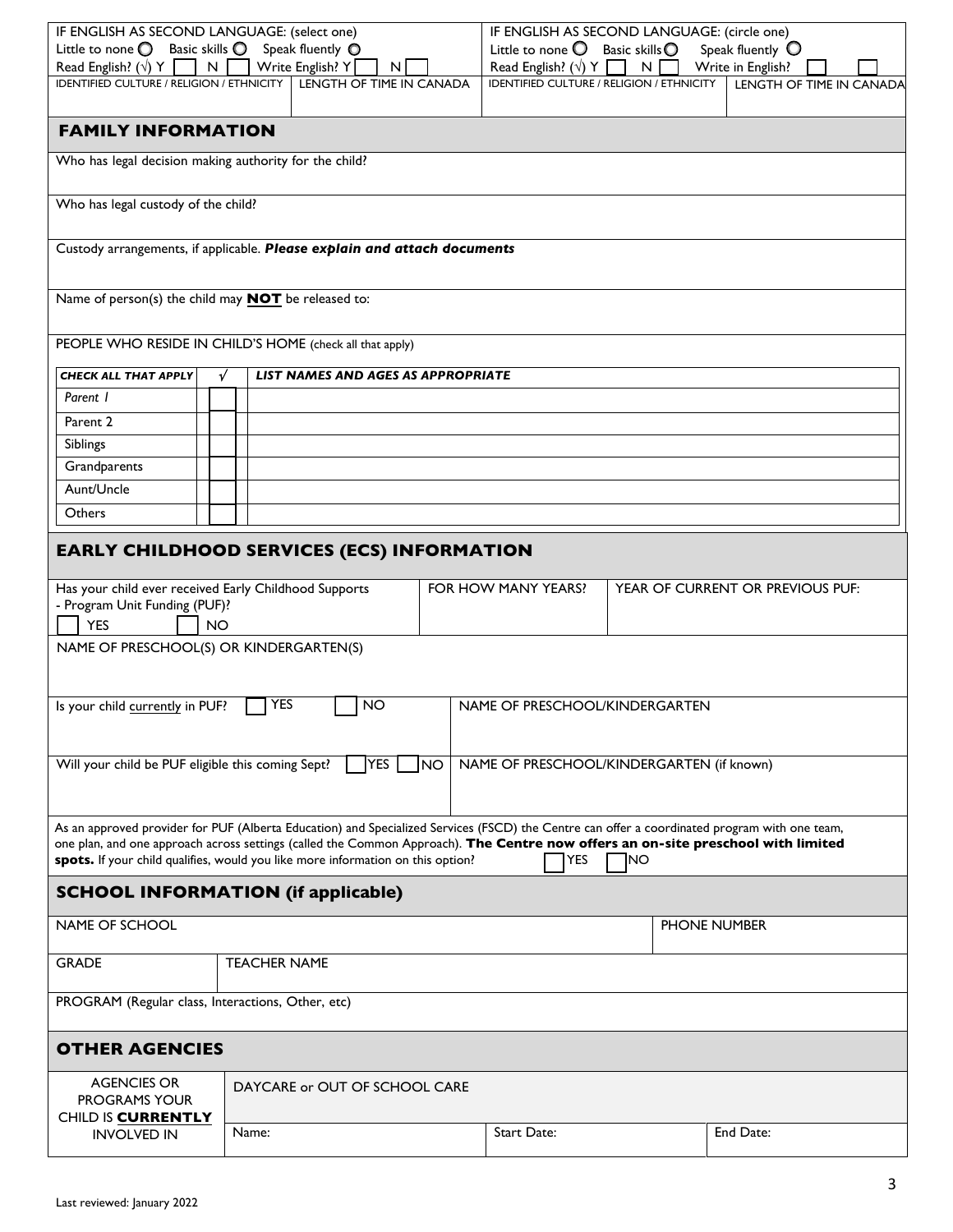| IF ENGLISH AS SECOND LANGUAGE: (circle one)<br>IF ENGLISH AS SECOND LANGUAGE: (select one)                                                                                                                          |                                                                                                                                                                          |                                           |  |                                                                               |            |                                               |  |  |
|---------------------------------------------------------------------------------------------------------------------------------------------------------------------------------------------------------------------|--------------------------------------------------------------------------------------------------------------------------------------------------------------------------|-------------------------------------------|--|-------------------------------------------------------------------------------|------------|-----------------------------------------------|--|--|
|                                                                                                                                                                                                                     | Little to none $\bigcirc$ Basic skills $\bigcirc$<br>Speak fluently O<br>Little to none $\bigcirc$ Basic skills $\bigcirc$ Speak fluently $\bigcirc$<br>Write English? Y |                                           |  |                                                                               |            |                                               |  |  |
| Read English? ( $\sqrt{$ ) Y $\sqrt{ }$<br>N<br><b>IDENTIFIED CULTURE / RELIGION / ETHNICITY</b>                                                                                                                    |                                                                                                                                                                          | N.<br>LENGTH OF TIME IN CANADA            |  | Read English? ( $\sqrt{) Y \Box$<br>IDENTIFIED CULTURE / RELIGION / ETHNICITY | $N \Gamma$ | Write in English?<br>LENGTH OF TIME IN CANADA |  |  |
|                                                                                                                                                                                                                     |                                                                                                                                                                          |                                           |  |                                                                               |            |                                               |  |  |
| <b>FAMILY INFORMATION</b>                                                                                                                                                                                           |                                                                                                                                                                          |                                           |  |                                                                               |            |                                               |  |  |
| Who has legal decision making authority for the child?                                                                                                                                                              |                                                                                                                                                                          |                                           |  |                                                                               |            |                                               |  |  |
| Who has legal custody of the child?                                                                                                                                                                                 |                                                                                                                                                                          |                                           |  |                                                                               |            |                                               |  |  |
| Custody arrangements, if applicable. Please explain and attach documents                                                                                                                                            |                                                                                                                                                                          |                                           |  |                                                                               |            |                                               |  |  |
| Name of person(s) the child may <b>NOT</b> be released to:                                                                                                                                                          |                                                                                                                                                                          |                                           |  |                                                                               |            |                                               |  |  |
| PEOPLE WHO RESIDE IN CHILD'S HOME (check all that apply)                                                                                                                                                            |                                                                                                                                                                          |                                           |  |                                                                               |            |                                               |  |  |
| <b>CHECK ALL THAT APPLY</b>                                                                                                                                                                                         |                                                                                                                                                                          | <b>LIST NAMES AND AGES AS APPROPRIATE</b> |  |                                                                               |            |                                               |  |  |
| Parent 1                                                                                                                                                                                                            |                                                                                                                                                                          |                                           |  |                                                                               |            |                                               |  |  |
| Parent <sub>2</sub>                                                                                                                                                                                                 |                                                                                                                                                                          |                                           |  |                                                                               |            |                                               |  |  |
| Siblings                                                                                                                                                                                                            |                                                                                                                                                                          |                                           |  |                                                                               |            |                                               |  |  |
| Grandparents                                                                                                                                                                                                        |                                                                                                                                                                          |                                           |  |                                                                               |            |                                               |  |  |
| Aunt/Uncle                                                                                                                                                                                                          |                                                                                                                                                                          |                                           |  |                                                                               |            |                                               |  |  |
| Others                                                                                                                                                                                                              |                                                                                                                                                                          |                                           |  |                                                                               |            |                                               |  |  |
| <b>EARLY CHILDHOOD SERVICES (ECS) INFORMATION</b>                                                                                                                                                                   |                                                                                                                                                                          |                                           |  |                                                                               |            |                                               |  |  |
| Has your child ever received Early Childhood Supports                                                                                                                                                               |                                                                                                                                                                          |                                           |  | FOR HOW MANY YEARS?                                                           |            | YEAR OF CURRENT OR PREVIOUS PUF:              |  |  |
|                                                                                                                                                                                                                     | - Program Unit Funding (PUF)?                                                                                                                                            |                                           |  |                                                                               |            |                                               |  |  |
| <b>YES</b><br><b>NO</b><br>NAME OF PRESCHOOL(S) OR KINDERGARTEN(S)                                                                                                                                                  |                                                                                                                                                                          |                                           |  |                                                                               |            |                                               |  |  |
|                                                                                                                                                                                                                     |                                                                                                                                                                          |                                           |  |                                                                               |            |                                               |  |  |
| Is your child currently in PUF?                                                                                                                                                                                     | <b>YES</b>                                                                                                                                                               | <b>NO</b>                                 |  | NAME OF PRESCHOOL/KINDERGARTEN                                                |            |                                               |  |  |
|                                                                                                                                                                                                                     |                                                                                                                                                                          |                                           |  |                                                                               |            |                                               |  |  |
|                                                                                                                                                                                                                     | Will your child be PUF eligible this coming Sept?<br><b>YES</b><br>NAME OF PRESCHOOL/KINDERGARTEN (if known)<br> NO                                                      |                                           |  |                                                                               |            |                                               |  |  |
|                                                                                                                                                                                                                     |                                                                                                                                                                          |                                           |  |                                                                               |            |                                               |  |  |
| As an approved provider for PUF (Alberta Education) and Specialized Services (FSCD) the Centre can offer a coordinated program with one team,                                                                       |                                                                                                                                                                          |                                           |  |                                                                               |            |                                               |  |  |
| one plan, and one approach across settings (called the Common Approach). The Centre now offers an on-site preschool with limited<br>spots. If your child qualifies, would you like more information on this option? |                                                                                                                                                                          |                                           |  | <b>YES</b>                                                                    | INO        |                                               |  |  |
| <b>SCHOOL INFORMATION (if applicable)</b>                                                                                                                                                                           |                                                                                                                                                                          |                                           |  |                                                                               |            |                                               |  |  |
| NAME OF SCHOOL                                                                                                                                                                                                      |                                                                                                                                                                          |                                           |  |                                                                               |            | <b>PHONE NUMBER</b>                           |  |  |
| <b>GRADE</b>                                                                                                                                                                                                        | <b>TEACHER NAME</b>                                                                                                                                                      |                                           |  |                                                                               |            |                                               |  |  |
| PROGRAM (Regular class, Interactions, Other, etc)                                                                                                                                                                   |                                                                                                                                                                          |                                           |  |                                                                               |            |                                               |  |  |
| <b>OTHER AGENCIES</b>                                                                                                                                                                                               |                                                                                                                                                                          |                                           |  |                                                                               |            |                                               |  |  |
| <b>AGENCIES OR</b><br><b>PROGRAMS YOUR</b>                                                                                                                                                                          |                                                                                                                                                                          | DAYCARE or OUT OF SCHOOL CARE             |  |                                                                               |            |                                               |  |  |
| CHILD IS <b>CURRENTLY</b>                                                                                                                                                                                           |                                                                                                                                                                          |                                           |  |                                                                               |            |                                               |  |  |
| <b>INVOLVED IN</b>                                                                                                                                                                                                  | Name:                                                                                                                                                                    |                                           |  | Start Date:                                                                   |            | End Date:                                     |  |  |